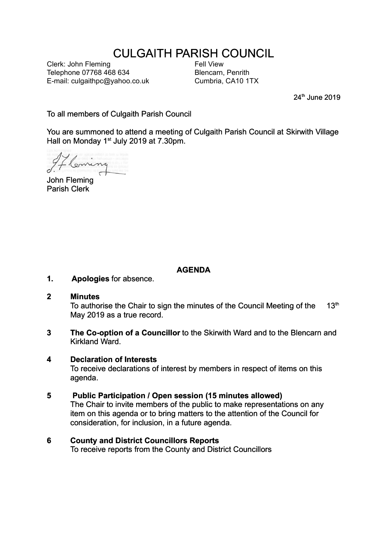# CULGAITH PARISH COUNCIL

Clerk: John Fleming Telephone 07768 468 634 E-mail: culgaithpc@yahoo.co.uk Fell View Blencarn, Penrith Cumbria, CA10 1TX

24<sup>th</sup> June 2019

To all members of Culgaith Parish Council

You are summoned to attend a meeting of Culgaith Parish Council at Skirwith Village Hall on Monday 1<sup>st</sup> July 2019 at 7.30pm.

Comin

John Fleming Parish Clerk

# **AGENDA**

**1. Apologies** for absence.

#### **2 Minutes**

To authorise the Chair to sign the minutes of the Council Meeting of the  $13<sup>th</sup>$ May 2019 as a true record.

**3 The Co-option of a Councillor** to the Skirwith Ward and to the Blencarn and Kirkland Ward.

#### **4 Declaration of Interests**

To receive declarations of interest by members in respect of items on this agenda.

# **5 Public Participation / Open session (15 minutes allowed)**

The Chair to invite members of the public to make representations on any item on this agenda or to bring matters to the attention of the Council for consideration, for inclusion, in a future agenda.

# **6 County and District Councillors Reports**

To receive reports from the County and District Councillors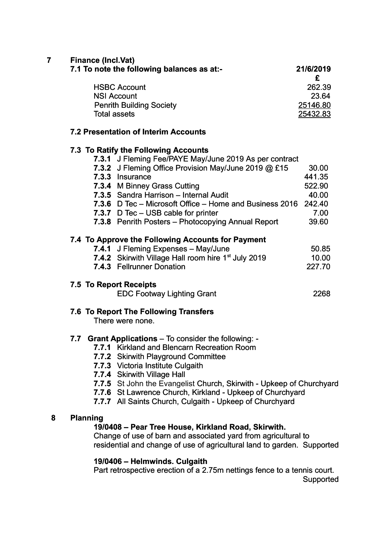**7 Finance (Incl.Vat)**

| 7.1 To note the following balances as at:- | 21/6/2019 |  |
|--------------------------------------------|-----------|--|
|                                            |           |  |
| <b>HSBC Account</b>                        | 262.39    |  |
| <b>NSI Account</b>                         | 23.64     |  |
| <b>Penrith Building Society</b>            | 25146.80  |  |
| <b>Total assets</b>                        | 25432.83  |  |

#### **7.2 Presentation of Interim Accounts**

### **7.3 To Ratify the Following Accounts**

|  | 7.3.1 J Fleming Fee/PAYE May/June 2019 As per contract          |        |
|--|-----------------------------------------------------------------|--------|
|  | 7.3.2 J Fleming Office Provision May/June 2019 @ £15            | 30.00  |
|  | 7.3.3 Insurance                                                 | 441.35 |
|  | <b>7.3.4</b> M Binney Grass Cutting                             | 522.90 |
|  | 7.3.5 Sandra Harrison - Internal Audit                          | 40.00  |
|  | 7.3.6 D Tec – Microsoft Office – Home and Business 2016         | 242.40 |
|  | 7.3.7 D Tec - USB cable for printer                             | 7.00   |
|  | 7.3.8 Penrith Posters - Photocopying Annual Report              | 39.60  |
|  | 7.4 To Approve the Following Accounts for Payment               |        |
|  | 7.4.1 J Fleming Expenses - May/June                             | 50.85  |
|  | 7.4.2 Skirwith Village Hall room hire 1 <sup>st</sup> July 2019 | 10.00  |
|  | 7.4.3 Fellrunner Donation                                       | 227.70 |
|  | 7.5 To Report Receipts                                          |        |
|  | <b>EDC Footway Lighting Grant</b>                               | 2268   |
|  | 7.6 To Report The Following Transfers                           |        |

There were none.

# **7.7 Grant Applications** – To consider the following: -

- **7.7.1** Kirkland and Blencarn Recreation Room
- **7.7.2** Skirwith Playground Committee
- **7.7.3** Victoria Institute Culgaith
- **7.7.4** Skirwith Village Hall
- **7.7.5** St John the Evangelist Church, Skirwith Upkeep of Churchyard
- **7.7.6** St Lawrence Church, Kirkland Upkeep of Churchyard
- **7.7.7** All Saints Church, Culgaith Upkeep of Churchyard

#### **8 Planning**

#### **19/0408 – Pear Tree House, Kirkland Road, Skirwith.**

Change of use of barn and associated yard from agricultural to residential and change of use of agricultural land to garden. Supported

# **19/0406 – Helmwinds. Culgaith**

Part retrospective erection of a 2.75m nettings fence to a tennis court. Supported